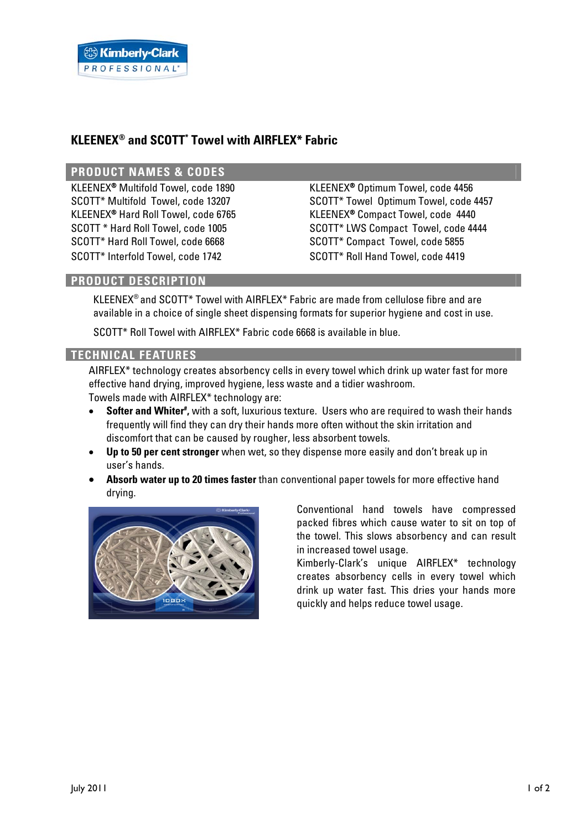# **KLEENEX® and SCOTT\* Towel with AIRFLEX\* Fabric**

### **PRODUCT NAMES & CODES**

KLEENEX<sup>®</sup> Multifold Towel, code 1890 KLEENEX<sup>®</sup> Optimum Towel, code 4456 SCOTT\* Hard Roll Towel, code 6668 SCOTT\* Compact Towel, code 5855 SCOTT\* Interfold Towel, code 1742 SCOTT\* Roll Hand Towel, code 4419

SCOTT\* Multifold Towel, code 13207 SCOTT\* Towel Optimum Towel, code 4457 KLEENEX® Hard Roll Towel, code 6765 KLEENEX® Compact Towel, code 4440 SCOTT \* Hard Roll Towel, code 1005 SCOTT\* LWS Compact Towel, code 4444

# **PRODUCT DESCRIPTION**

KLEENEX® and SCOTT\* Towel with AIRFLEX\* Fabric are made from cellulose fibre and are available in a choice of single sheet dispensing formats for superior hygiene and cost in use.

SCOTT\* Roll Towel with AIRFLEX\* Fabric code 6668 is available in blue.

### **TECHNICAL FEATURES**

AIRFLEX\* technology creates absorbency cells in every towel which drink up water fast for more effective hand drying, improved hygiene, less waste and a tidier washroom. Towels made with AIRFLEX\* technology are:

- **Softer and Whiter**<sup>#</sup>, with a soft, luxurious texture. Users who are required to wash their hands frequently will find they can dry their hands more often without the skin irritation and discomfort that can be caused by rougher, less absorbent towels.
- **Up to 50 per cent stronger** when wet, so they dispense more easily and don't break up in user's hands.
- **Absorb water up to 20 times faster** than conventional paper towels for more effective hand drying.



Conventional hand towels have compressed packed fibres which cause water to sit on top of the towel. This slows absorbency and can result in increased towel usage.

Kimberly-Clark's unique AIRFLEX\* technology creates absorbency cells in every towel which drink up water fast. This dries your hands more quickly and helps reduce towel usage.